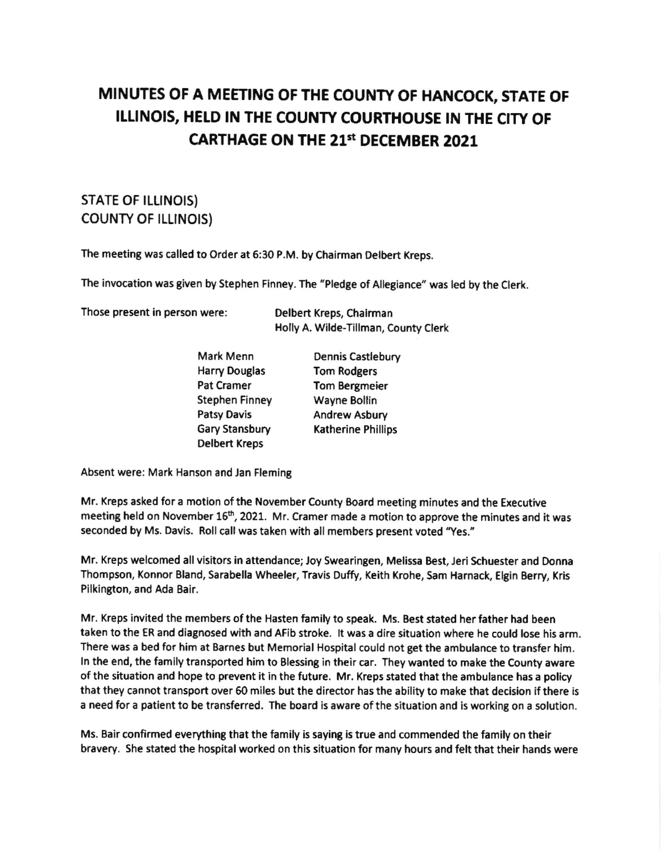## MINUTES OF A MEETTNG OF THE COUNTY OF HANCOCK, STATE OF ILLINOIS, HELD IN THE COUNTY COURTHOUSE IN THE CITY OF CARTHAGE ON THE 213t DECEMBER 2021

## STATE OF ILLINOIS) COUNTY OF ILLINOIS)

The meeting was called to Order at 6:30 P.M. by Chairman Oelbert Kreps.

The invocation was given by Stephen Finney. The "Pledge of Allegiance" was led by the Clerk.

Those present in person were: Delbert Kreps, Chalrman

Holly A. Wilde-Tillman, County Clerk

| Mark Menn            | Dennis Castlebury         |
|----------------------|---------------------------|
| <b>Harry Douglas</b> | <b>Tom Rodgers</b>        |
| Pat Cramer           | <b>Tom Bergmeier</b>      |
| Stephen Finney       | Wayne Bollin              |
| <b>Patsy Davis</b>   | Andrew Asbury             |
| Gary Stansbury       | <b>Katherine Phillips</b> |
| <b>Delbert Kreps</b> |                           |

Absent were: Mark Hanson and Jan Fleming

Mr. Kreps asked for a motion of the November County Board meeting minutes and the Executive meeting held on November 16<sup>th</sup>, 2021. Mr. Cramer made a motion to approve the minutes and it was seconded by Ms. Davis. Roll call was taken with all members present voted 'Yes."

Mr. Kreps welcomed all visitors in attendance; Joy Swearingen, Melissa Best, Jeri Schuester and Donna Thompson, Konnor Bland, Sarabella Wheeler, Travis Duffy, Keith Krohe, Sam Harnack, Elgin Berry, Kris Pilkington, and Ada Bair.

Mr. Kreps invited the members of the Hasten family to speak. Ms. Best stated her father had been taken to the ER and diagnosed with and AFib stroke. lt was a dire situation where he could lose his arm. There was a bed for him at Barnes but Memorial Hospital could not get the ambulance to transfer him. ln the end, the family transported him to Blessing in their car. They wanted to make the County aware of the situation and hope to prevent it in the future. Mr. Kreps stated that the ambulance has a policy that they cannot transport over 50 mlles but the director has the ability to make that decision if there is a need for a patient to be transferred. The board is aware of the situation and is working on a solution.

Ms. Bair confirmed everything that the family is saying is true and commended the family on their bravery. She stated the hospital worked on this situation for many hours and felt that their hands were